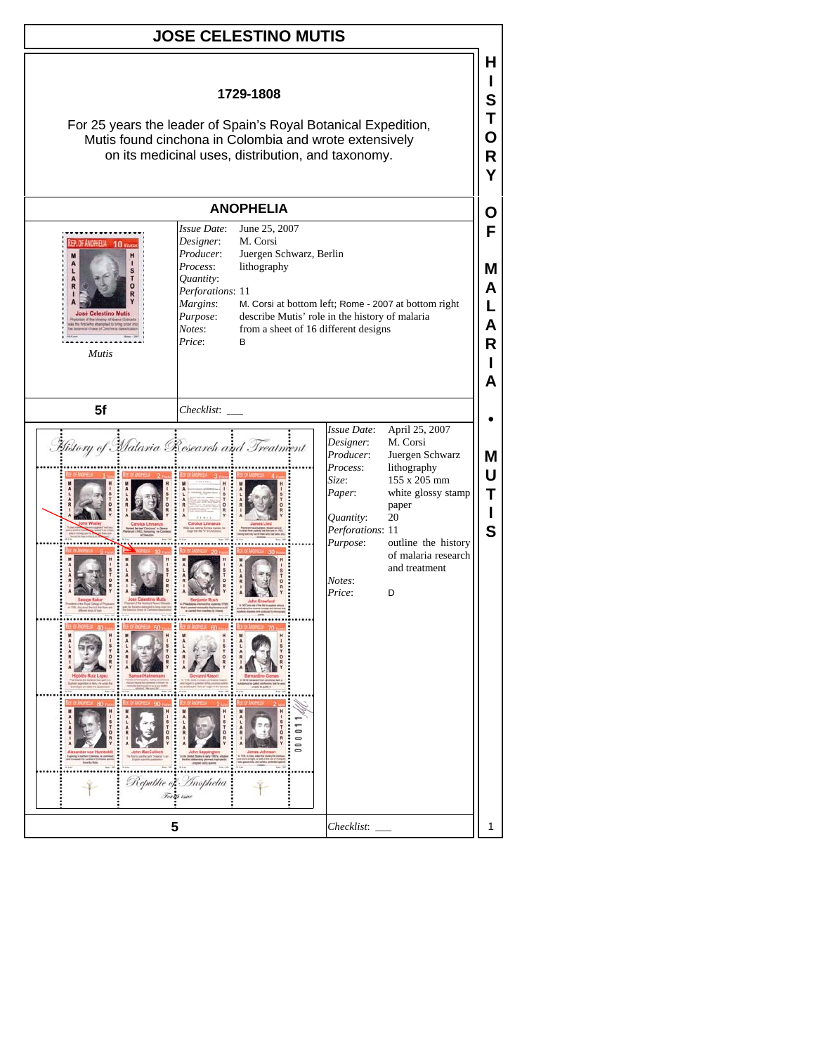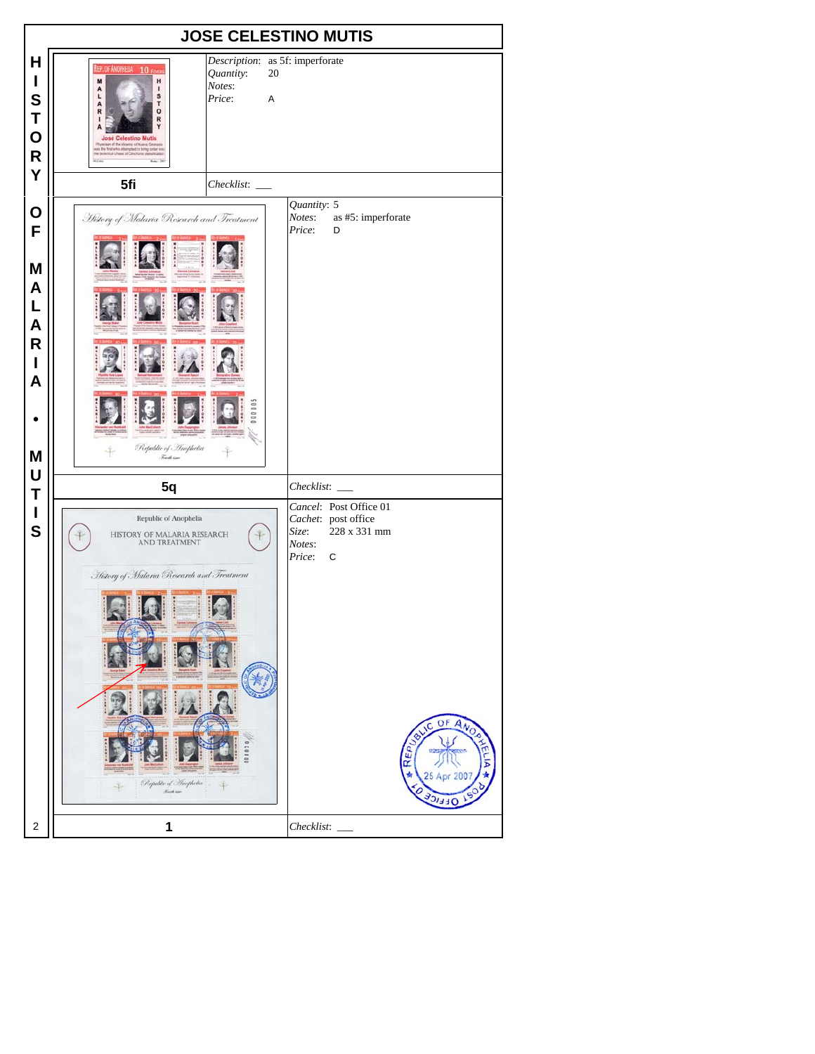| <b>JOSE CELESTINO MUTIS</b>                               |                                                                                                                                                                                                                                                                                                                                             |                                                                                                                                                                                                                                      |  |  |
|-----------------------------------------------------------|---------------------------------------------------------------------------------------------------------------------------------------------------------------------------------------------------------------------------------------------------------------------------------------------------------------------------------------------|--------------------------------------------------------------------------------------------------------------------------------------------------------------------------------------------------------------------------------------|--|--|
| н<br>I<br>S<br>T<br>$\mathbf 0$<br>$\mathsf{R}$<br>Y      | Description: as 5f: imperforate<br>REP. OF ANOPHELIA 10 FEVER<br>Quantity:<br>20<br>M<br>H<br>Notes:<br>A<br>л<br>S<br>L<br>Price:<br>A<br>T<br>A<br>$\circ$<br>R<br>R<br><b>José Celestino Mutis</b><br>an of the Vicercy of Nueva Grana<br>us the first who attempted to bring order ins<br>he botanical chaos of Cinchona classification |                                                                                                                                                                                                                                      |  |  |
|                                                           | 5fi<br>Checklist:                                                                                                                                                                                                                                                                                                                           |                                                                                                                                                                                                                                      |  |  |
| O<br>F<br>M<br>A<br>L<br>A<br>$\mathsf{R}$<br>I<br>A<br>M | History of Malaria Research and Treatment<br>0000<br>Republic of Inophelia<br>Freeth issue                                                                                                                                                                                                                                                  | Quantity: 5<br>Notes:<br>as #5: imperforate<br>Price:<br>D                                                                                                                                                                           |  |  |
| U                                                         |                                                                                                                                                                                                                                                                                                                                             |                                                                                                                                                                                                                                      |  |  |
| T<br>$\mathbf I$<br>S                                     | 5q<br>Republic of Anophelia<br>HISTORY OF MALARIA RESEARCH<br>AND TREATMENT<br>History of Malaria Research and Treatment<br>000020<br>Republic of Incphetia<br>4<br><b>Friday</b>                                                                                                                                                           | Checklist:<br>Cancel: Post Office 01<br>Cachet: post office<br>228 x 331 mm<br>Size:<br>Notes:<br>Price:<br>$\mathbf C$<br>OF<br>$\overline{A_{N_O}}$<br>BLIC<br>$\overline{\mathsf{R}\varepsilon_{\mathsf{P}}}_{U}$<br>25 Apr<br>ᆿᆿ |  |  |
| $\overline{c}$                                            | 1                                                                                                                                                                                                                                                                                                                                           | Checklist:                                                                                                                                                                                                                           |  |  |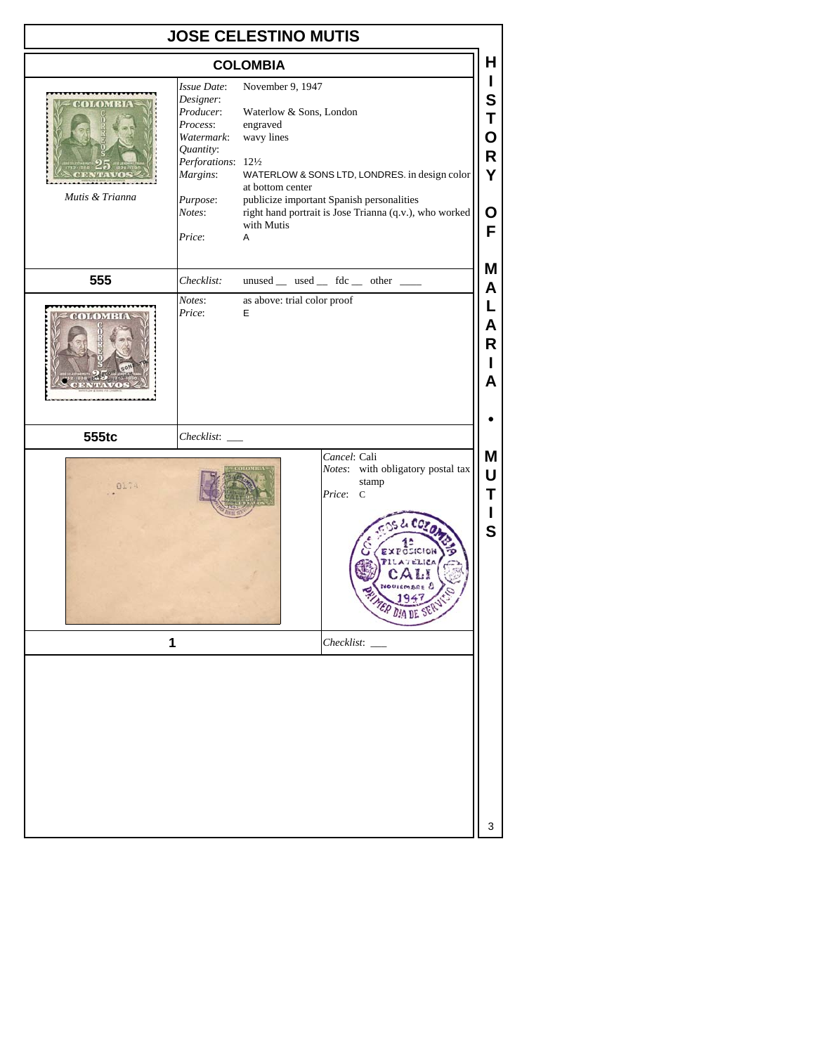| <b>JOSE CELESTINO MUTIS</b>       |                                                                                                                                                 |                                                                                                                                                                                                                                                                                                              |  |  |  |
|-----------------------------------|-------------------------------------------------------------------------------------------------------------------------------------------------|--------------------------------------------------------------------------------------------------------------------------------------------------------------------------------------------------------------------------------------------------------------------------------------------------------------|--|--|--|
| <b>COLOMBIA</b>                   |                                                                                                                                                 |                                                                                                                                                                                                                                                                                                              |  |  |  |
| <b>DLOMBIA</b><br>Mutis & Trianna | Issue Date:<br>Designer:<br>Producer:<br>Process:<br>Watermark:<br>Quantity:<br>Perforations: 121/2<br>Margins:<br>Purpose:<br>Notes:<br>Price: | L<br>November 9, 1947<br>S<br>Waterlow & Sons, London<br>T<br>engraved<br>wavy lines<br>O<br>R<br>Y<br>WATERLOW & SONS LTD, LONDRES. in design color<br>at bottom center<br>publicize important Spanish personalities<br>right hand portrait is Jose Trianna (q.v.), who worked<br>O<br>with Mutis<br>F<br>Α |  |  |  |
| 555                               | Checklist:                                                                                                                                      | Μ<br>unused $\_\$ used $\_\$ fdc $\_\$ other $\_\_$                                                                                                                                                                                                                                                          |  |  |  |
| <b>SERVICES</b>                   | Notes:<br>Price:                                                                                                                                | A<br>as above: trial color proof<br>L<br>E<br>Α<br>R<br>A                                                                                                                                                                                                                                                    |  |  |  |
| 555tc                             | Checklist:                                                                                                                                      |                                                                                                                                                                                                                                                                                                              |  |  |  |
| 0174                              |                                                                                                                                                 | Cancel: Cali<br>Μ<br>Notes: with obligatory postal tax<br>U<br>stamp<br>Т<br>Price:<br>$\mathcal{C}$<br>$ccz_0$<br>$\mathbf s$<br>ER DIA DE ST                                                                                                                                                               |  |  |  |
| 1                                 |                                                                                                                                                 | Checklist:                                                                                                                                                                                                                                                                                                   |  |  |  |
|                                   |                                                                                                                                                 | 3                                                                                                                                                                                                                                                                                                            |  |  |  |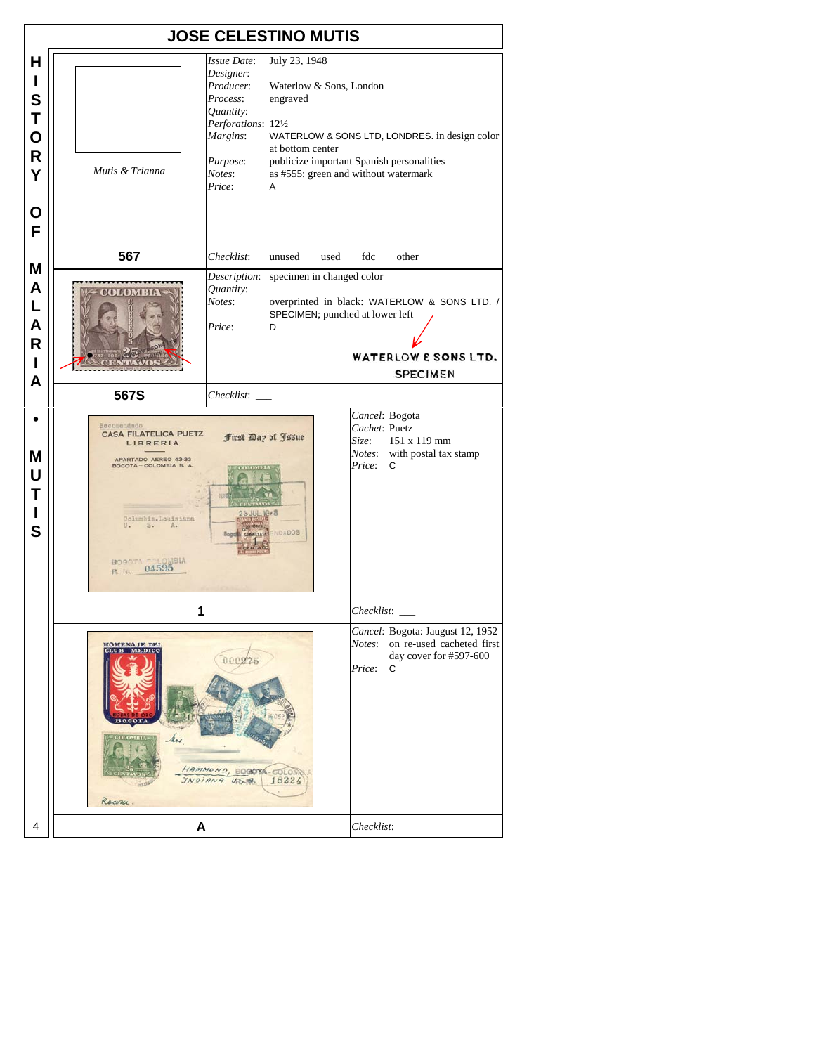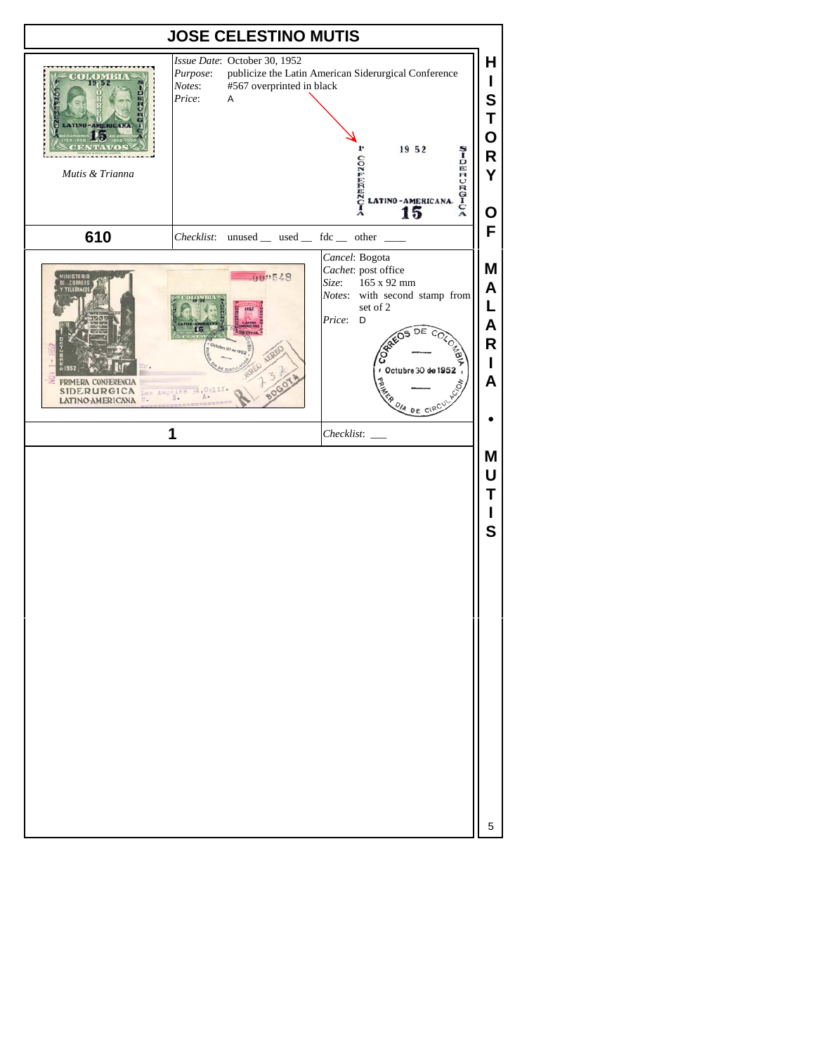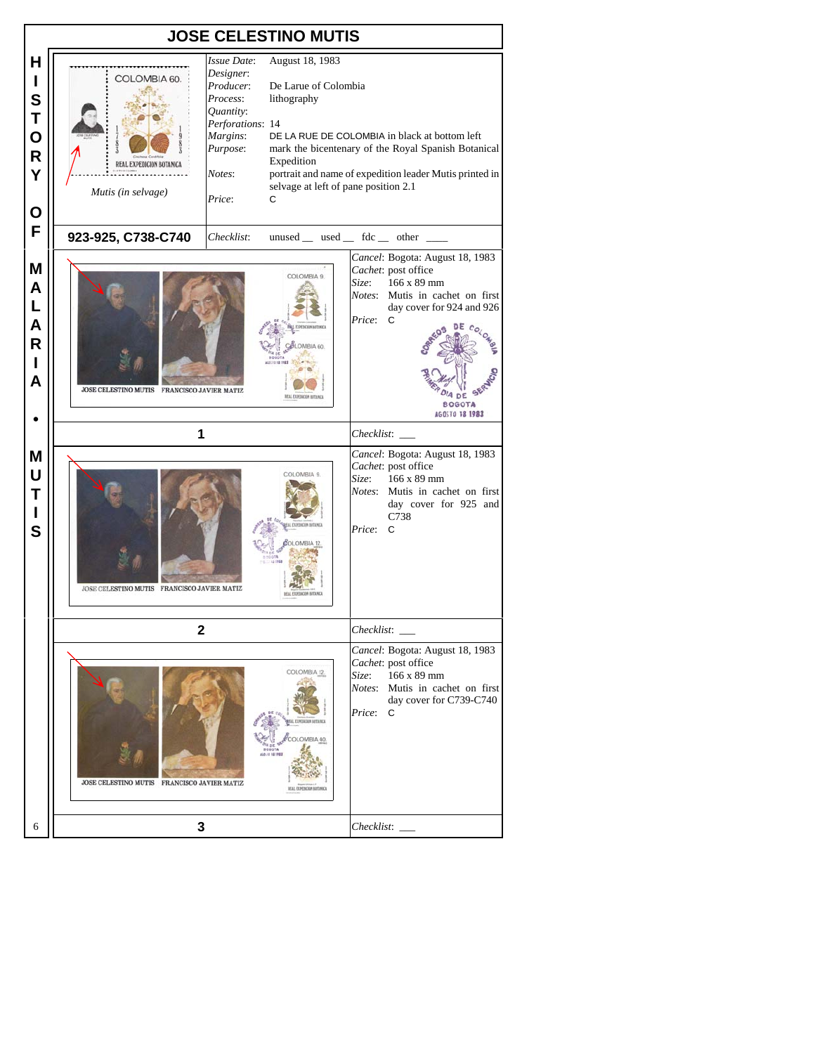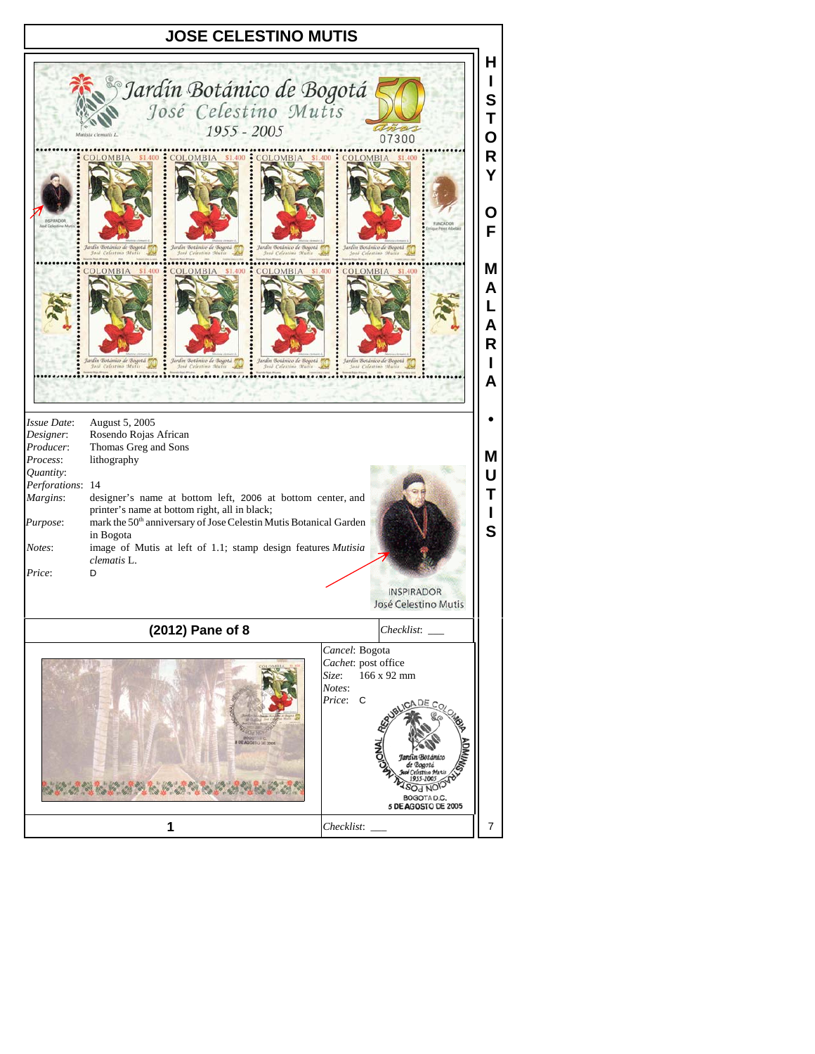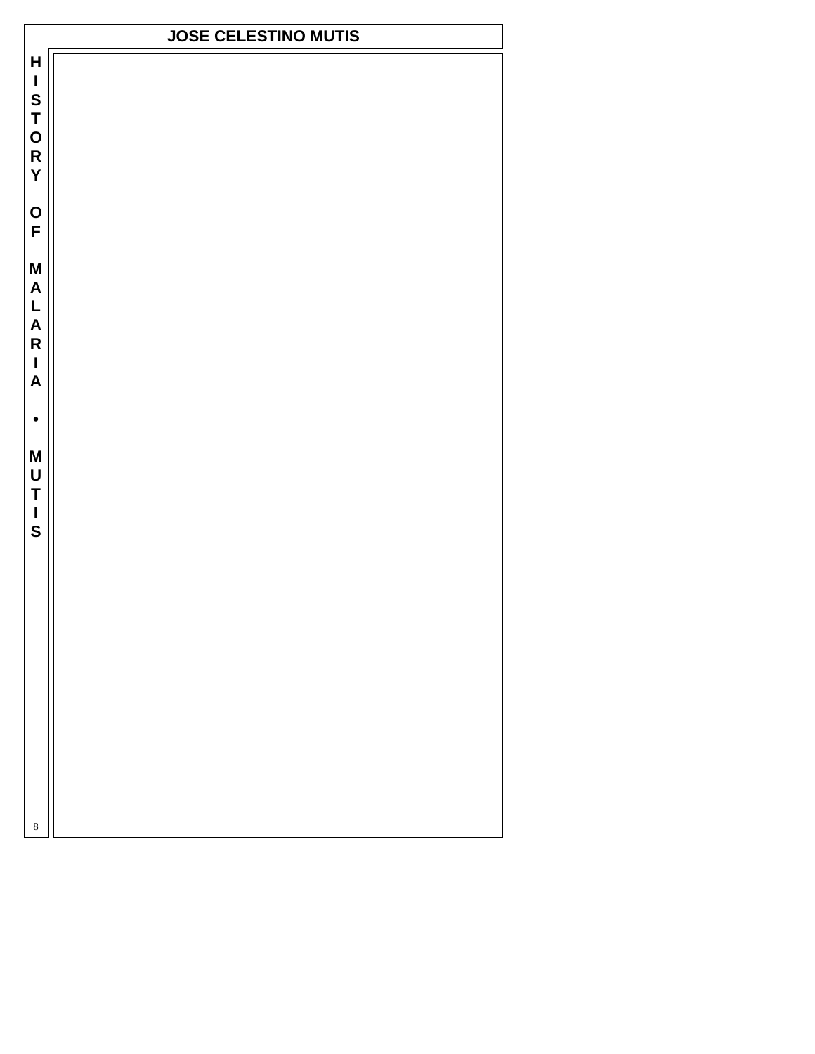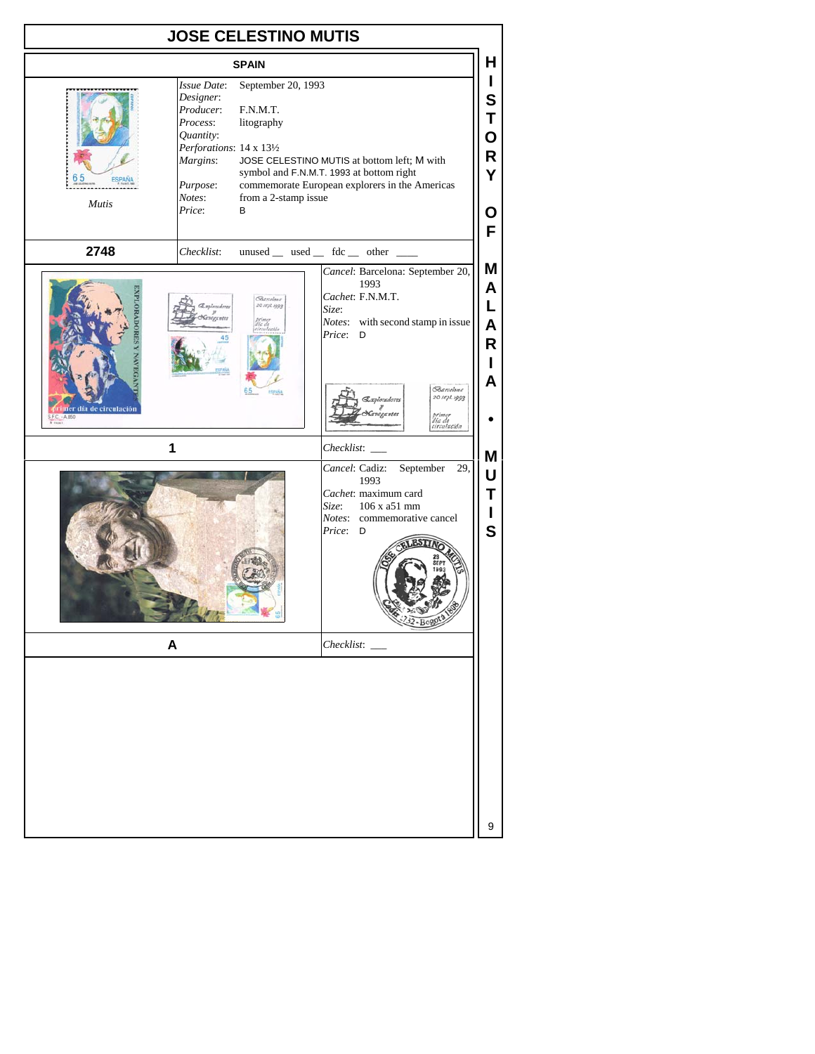| <b>JOSE CELESTINO MUTIS</b> |                                                                                                                                                                                                                     |                                                                                                                                                                                                                                                                                                                                                                                                                                                                                     |  |  |
|-----------------------------|---------------------------------------------------------------------------------------------------------------------------------------------------------------------------------------------------------------------|-------------------------------------------------------------------------------------------------------------------------------------------------------------------------------------------------------------------------------------------------------------------------------------------------------------------------------------------------------------------------------------------------------------------------------------------------------------------------------------|--|--|
| н<br><b>SPAIN</b>           |                                                                                                                                                                                                                     |                                                                                                                                                                                                                                                                                                                                                                                                                                                                                     |  |  |
| <b>Mutis</b>                | September 20, 1993<br>Issue Date:<br>Designer:<br>Producer:<br>F.N.M.T.<br>Process:<br>litography<br>Quantity:<br>Perforations: 14 x 131/2<br>Margins:<br>Purpose:<br>Notes:<br>from a 2-stamp issue<br>Price:<br>В | L<br>S<br>Т<br>O<br>R<br>JOSE CELESTINO MUTIS at bottom left; M with<br>symbol and F.N.M.T. 1993 at bottom right<br>Y<br>commemorate European explorers in the Americas<br>Ο<br>F                                                                                                                                                                                                                                                                                                   |  |  |
| 2748                        | Checklist:                                                                                                                                                                                                          | unused $\_\$ used $\_\$ fdc $\_\$ other $\_\_$                                                                                                                                                                                                                                                                                                                                                                                                                                      |  |  |
| r día de circulación        | <b>Sannhar</b><br>20 sept. 1999<br>65<br><b>ESPAÑA</b><br>1<br>A                                                                                                                                                    | Μ<br>Cancel: Barcelona: September 20,<br>1993<br>A<br>Cachet: F.N.M.T.<br>L<br>Size:<br>Notes: with second stamp in issue<br>$\mathsf{A}$<br>Price: D<br>R<br>L<br>A<br><b>Barcelona</b><br>20 sept. 1992<br>vloradores<br>ogantes<br>primer<br>día de<br>circulación<br>Checklist:<br>Μ<br>September 29,<br>Cancel: Cadiz:<br>U<br>1993<br>Cachet: maximum card<br>Т<br>Size:<br>106 x a51 mm<br>L<br><i>Notes:</i> commemorative cancel<br>$\mathbf S$<br>Price: D<br>$22 - B080$ |  |  |
|                             |                                                                                                                                                                                                                     | 9                                                                                                                                                                                                                                                                                                                                                                                                                                                                                   |  |  |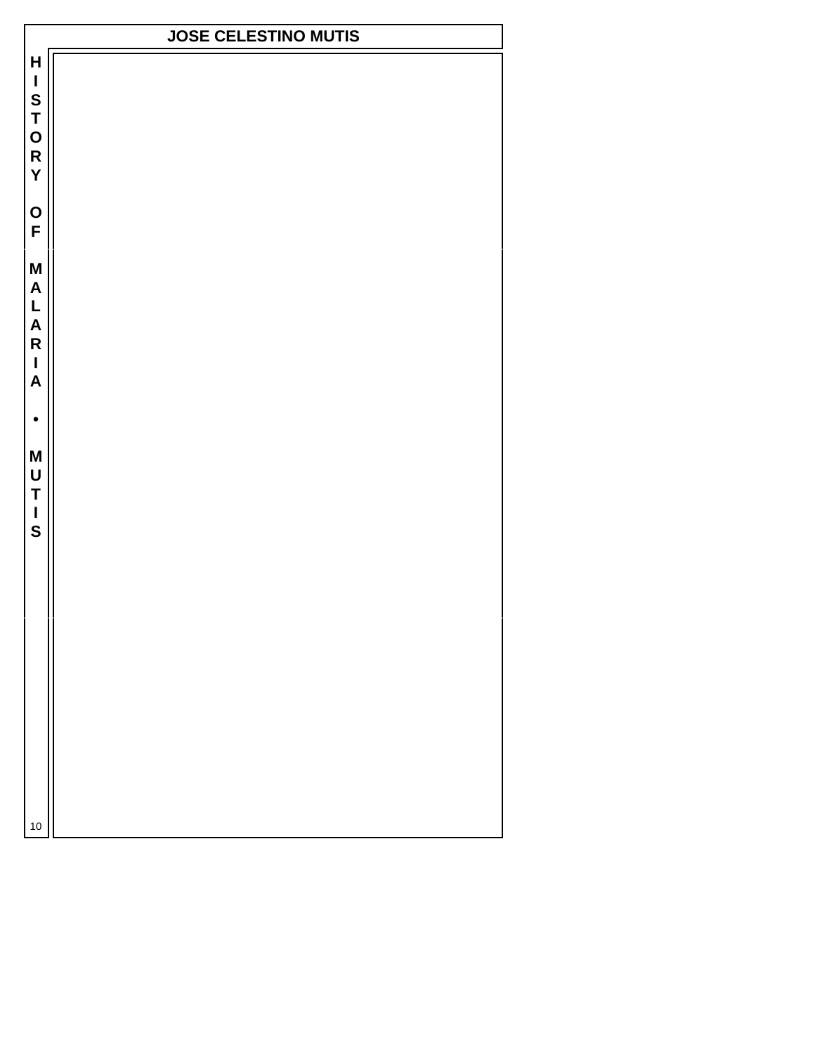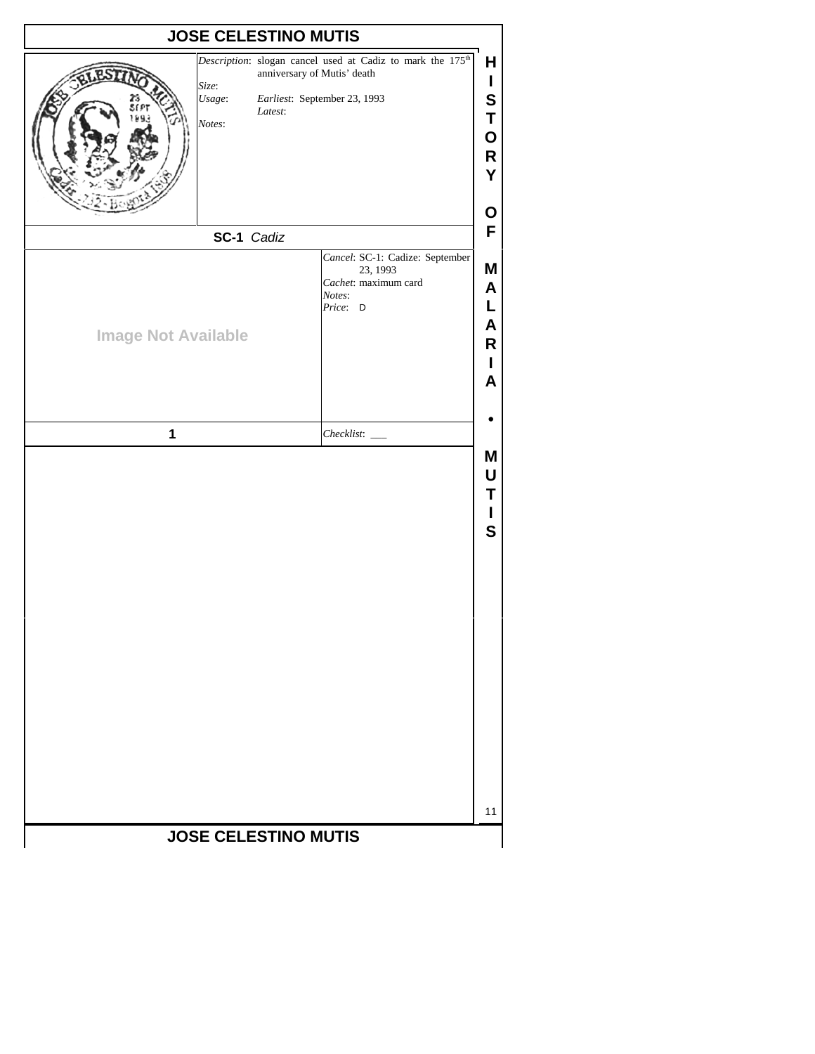| <b>JOSE CELESTINO MUTIS</b>     |                                                                                                                                                  |                                                     |
|---------------------------------|--------------------------------------------------------------------------------------------------------------------------------------------------|-----------------------------------------------------|
| Size:<br>Usage:<br>Notes:       | Description: slogan cancel used at Cadiz to mark the 175 <sup>th</sup><br>anniversary of Mutis' death<br>Earliest: September 23, 1993<br>Latest: | н<br>L<br>S<br>Τ<br>Ο<br>R<br>Y<br>Ο                |
| SC-1 Cadiz                      |                                                                                                                                                  | F                                                   |
| <b>Image Not Available</b><br>1 | Cancel: SC-1: Cadize: September<br>23, 1993<br>Cachet: maximum card<br>Notes:<br>Price: D                                                        | M<br>A<br>L<br>A<br>R<br>L<br>A<br>M<br>U<br>Т<br>S |
|                                 | <b>JOSE CELESTINO MUTIS</b>                                                                                                                      | 11                                                  |